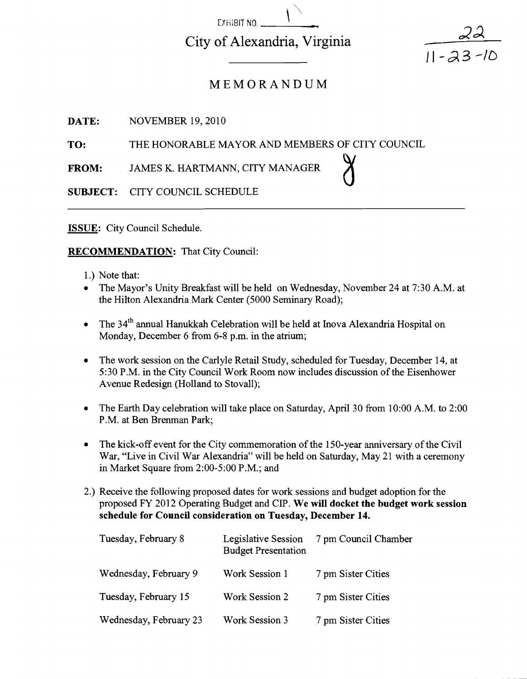City of Alexandria, Virginia

EXHIBIT NO.

#### MEMORANDUM

**DATE:** NOVEMBER 19, 2010

**TO:** THE HONORABLE MAYOR AND MEMBERS OF CITY COUNCIL

**FROM:** JAMES K. HARTMANN, CITY MANAGER

**SUBJECT:** CITY COUNCIL SCHEDULE

**ISSUE:** City Council Schedule.

#### **RECOMMENDATION:** That City Council:

- 1.) Note that:
- $\bullet$ The Mayor's Unity Breakfast will be held on Wednesday, November 24 at 7:30 A.M. at the Hilton Alexandria Mark Center (5000 Seminary Road);

 $\int$ 

 $11 - 23 - 10$ 

- The 34<sup>th</sup> annual Hanukkah Celebration will be held at Inova Alexandria Hospital on  $\bullet$ Monday, December 6 from 6-8 p.m. in the atrium;
- The work session on the Carlyle Retail Study, scheduled for Tuesday, December 14, at 5:30 P.M. in the City Council Work Room now includes discussion of the Eisenhower Avenue Redesign (Holland to Stovall);
- The Earth Day celebration will take place on Saturday, April 30 from 10:OO A.M. to 2:00  $\bullet$ P.M. at Ben Brenman Park;
- The kick-off event for the City commemoration of the 150-year anniversary of the Civil War, "Live in Civil War Alexandria" will be held on Saturday, May 21 with a ceremony in Market Square from 2:OO-5:00 P.M.; and
- 2.) Receive the following proposed dates for work sessions and budget adoption for the proposed FY 2012 Operating Budget and CP. **We will docket the budget work session schedule for Council consideration on Tuesday, December 14.**

| Tuesday, February 8    | Legislative Session<br><b>Budget Presentation</b> | 7 pm Council Chamber |
|------------------------|---------------------------------------------------|----------------------|
| Wednesday, February 9  | Work Session 1                                    | 7 pm Sister Cities   |
| Tuesday, February 15   | Work Session 2                                    | 7 pm Sister Cities   |
| Wednesday, February 23 | <b>Work Session 3</b>                             | 7 pm Sister Cities   |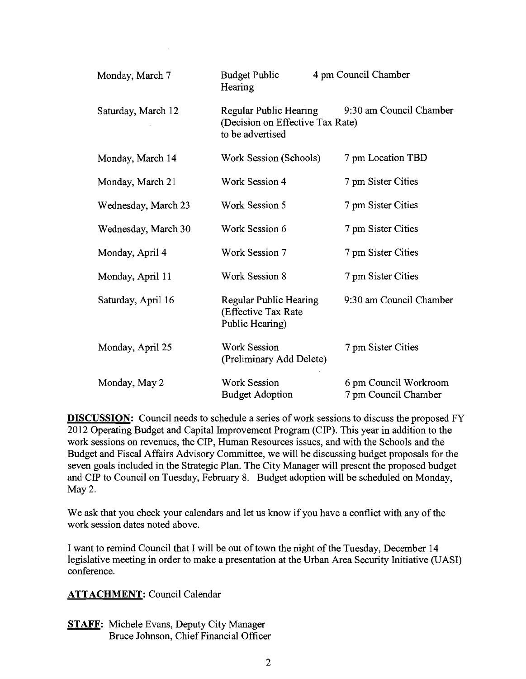| Monday, March 7     | <b>Budget Public</b><br>Hearing                                                | 4 pm Council Chamber                          |
|---------------------|--------------------------------------------------------------------------------|-----------------------------------------------|
| Saturday, March 12  | Regular Public Hearing<br>(Decision on Effective Tax Rate)<br>to be advertised | 9:30 am Council Chamber                       |
| Monday, March 14    | Work Session (Schools)                                                         | 7 pm Location TBD                             |
| Monday, March 21    | <b>Work Session 4</b>                                                          | 7 pm Sister Cities                            |
| Wednesday, March 23 | Work Session 5                                                                 | 7 pm Sister Cities                            |
| Wednesday, March 30 | Work Session 6                                                                 | 7 pm Sister Cities                            |
| Monday, April 4     | Work Session 7                                                                 | 7 pm Sister Cities                            |
| Monday, April 11    | Work Session 8                                                                 | 7 pm Sister Cities                            |
| Saturday, April 16  | <b>Regular Public Hearing</b><br>(Effective Tax Rate<br>Public Hearing)        | 9:30 am Council Chamber                       |
| Monday, April 25    | <b>Work Session</b><br>(Preliminary Add Delete)                                | 7 pm Sister Cities                            |
| Monday, May 2       | <b>Work Session</b><br><b>Budget Adoption</b>                                  | 6 pm Council Workroom<br>7 pm Council Chamber |

**DISCUSSION:** Council needs to schedule a series of work sessions to discuss the proposed FY 2012 Operating Budget and Capital Improvement Program (CIP). This year in addition to the work sessions on revenues, the CIP, Human Resources issues, and with the Schools and the Budget and Fiscal Affairs Advisory Committee, we will be discussing budget proposals for the seven goals included in the Strategic Plan. The City Manager will present the proposed budget and CIP to Council on Tuesday, February 8. Budget adoption will be scheduled on Monday, May 2.

We ask that you check your calendars and let us know if you have a conflict with any of the work session dates noted above.

I want to remind Council that I will be out of town the night of the Tuesday, December 14 legislative meeting in order to make a presentation at the Urban Area Security Initiative (UASI) conference.

#### **ATTACHMENT:** Council Calendar

**STAFF:** Michele Evans, Deputy City Manager Bruce Johnson, Chief Financial Officer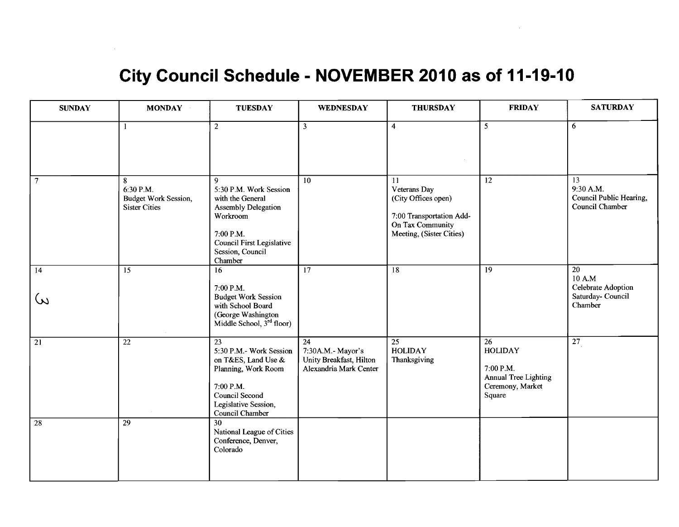#### **City Council Schedule** - **NOVEMBER 2010 as of 11-19-10**

 $\sim$ 

| <b>SUNDAY</b>               | <b>MONDAY</b>                                                  | <b>TUESDAY</b>                                                                                                                                                            | <b>WEDNESDAY</b>                                                             | <b>THURSDAY</b>                                                                                                       | <b>FRIDAY</b>                                                                           | <b>SATURDAY</b>                                                    |
|-----------------------------|----------------------------------------------------------------|---------------------------------------------------------------------------------------------------------------------------------------------------------------------------|------------------------------------------------------------------------------|-----------------------------------------------------------------------------------------------------------------------|-----------------------------------------------------------------------------------------|--------------------------------------------------------------------|
|                             | $\mathbf{1}$                                                   | $\overline{2}$                                                                                                                                                            | $\overline{3}$                                                               | $\overline{4}$                                                                                                        | $\overline{5}$                                                                          | 6                                                                  |
| $\overline{7}$              | 8<br>6:30 P.M.<br>Budget Work Session,<br><b>Sister Cities</b> | 9<br>5:30 P.M. Work Session<br>with the General<br><b>Assembly Delegation</b><br>Workroom<br>7:00 P.M.<br><b>Council First Legislative</b><br>Session, Council<br>Chamber | $\overline{10}$                                                              | 11<br>Veterans Day<br>(City Offices open)<br>7:00 Transportation Add-<br>On Tax Community<br>Meeting, (Sister Cities) | 12                                                                                      | 13<br>9:30 A.M.<br>Council Public Hearing,<br>Council Chamber      |
| $\overline{14}$<br>$\omega$ | $\overline{15}$                                                | 16<br>7:00 P.M.<br><b>Budget Work Session</b><br>with School Board<br>(George Washington<br>Middle School, 3 <sup>rd</sup> floor)                                         | 17                                                                           | 18                                                                                                                    | 19                                                                                      | 20<br>10 A.M<br>Celebrate Adoption<br>Saturday- Council<br>Chamber |
| $\overline{21}$             | $\overline{22}$                                                | $\overline{23}$<br>5:30 P.M.- Work Session<br>on T&ES, Land Use &<br>Planning, Work Room<br>7:00 P.M.<br>Council Second<br>Legislative Session,<br>Council Chamber        | 24<br>7:30A.M.- Mayor's<br>Unity Breakfast, Hilton<br>Alexandria Mark Center | 25<br><b>HOLIDAY</b><br>Thanksgiving                                                                                  | 26<br><b>HOLIDAY</b><br>7:00 P.M.<br>Annual Tree Lighting<br>Ceremony, Market<br>Square | $\overline{27}$                                                    |
| $\overline{28}$             | $\overline{29}$                                                | $\overline{30}$<br>National League of Cities<br>Conference, Denver,<br>Colorado                                                                                           |                                                                              |                                                                                                                       |                                                                                         |                                                                    |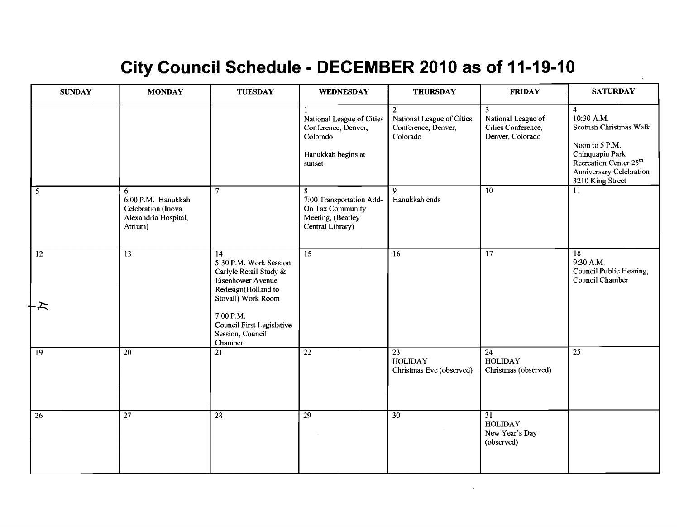#### City Council Schedule - DECEMBER 2010 as of 11-19-10

| <b>SUNDAY</b>   | <b>MONDAY</b>                                                                    | <b>TUESDAY</b>                                                                                                                                                                                                 | <b>WEDNESDAY</b>                                                                             | <b>THURSDAY</b>                                                                | <b>FRIDAY</b>                                                                  | <b>SATURDAY</b>                                                                                                                                                                   |
|-----------------|----------------------------------------------------------------------------------|----------------------------------------------------------------------------------------------------------------------------------------------------------------------------------------------------------------|----------------------------------------------------------------------------------------------|--------------------------------------------------------------------------------|--------------------------------------------------------------------------------|-----------------------------------------------------------------------------------------------------------------------------------------------------------------------------------|
|                 |                                                                                  |                                                                                                                                                                                                                | National League of Cities<br>Conference, Denver,<br>Colorado<br>Hanukkah begins at<br>sunset | $\overline{2}$<br>National League of Cities<br>Conference, Denver,<br>Colorado | $\overline{3}$<br>National League of<br>Cities Conference,<br>Denver, Colorado | $\overline{4}$<br>10:30 A.M.<br>Scottish Christmas Walk<br>Noon to 5 P.M.<br>Chinquapin Park<br>Recreation Center 25 <sup>th</sup><br>Anniversary Celebration<br>3210 King Street |
| 5               | 6<br>6:00 P.M. Hanukkah<br>Celebration (Inova<br>Alexandria Hospital,<br>Atrium) | $7\overline{ }$                                                                                                                                                                                                | 8<br>7:00 Transportation Add-<br>On Tax Community<br>Meeting, (Beatley<br>Central Library)   | 9<br>Hanukkah ends                                                             | 10                                                                             | 11                                                                                                                                                                                |
| $\overline{12}$ | $\overline{13}$                                                                  | $\overline{14}$<br>5:30 P.M. Work Session<br>Carlyle Retail Study &<br>Eisenhower Avenue<br>Redesign(Holland to<br>Stovall) Work Room<br>7:00 P.M.<br>Council First Legislative<br>Session, Council<br>Chamber | $\overline{15}$                                                                              | 16                                                                             | $\overline{17}$                                                                | $\overline{18}$<br>9:30 A.M.<br>Council Public Hearing,<br>Council Chamber                                                                                                        |
| $\boxed{19}$    | $\overline{20}$                                                                  | $\overline{21}$                                                                                                                                                                                                | $\overline{22}$                                                                              | $\overline{23}$<br><b>HOLIDAY</b><br>Christmas Eve (observed)                  | $\overline{24}$<br><b>HOLIDAY</b><br>Christmas (observed)                      | $\overline{25}$                                                                                                                                                                   |
| 26              | $\overline{27}$                                                                  | $\overline{28}$                                                                                                                                                                                                | $\overline{29}$                                                                              | $\overline{30}$                                                                | $\overline{31}$<br><b>HOLIDAY</b><br>New Year's Day<br>(observed)              |                                                                                                                                                                                   |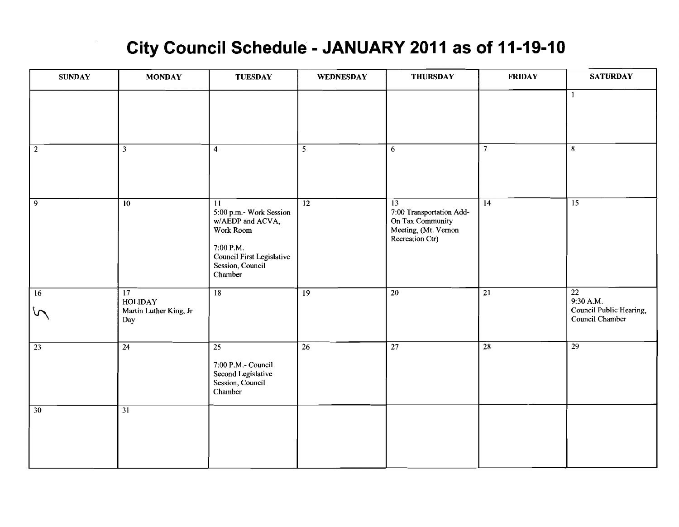### **City Council Schedule** - **JANUARY 2011 as of 11-19-10**

| <b>SUNDAY</b>       | <b>MONDAY</b>                                                      | <b>TUESDAY</b>                                                                                                                                       | <b>WEDNESDAY</b> | <b>THURSDAY</b>                                                                                            | <b>FRIDAY</b>   | <b>SATURDAY</b>                                                            |
|---------------------|--------------------------------------------------------------------|------------------------------------------------------------------------------------------------------------------------------------------------------|------------------|------------------------------------------------------------------------------------------------------------|-----------------|----------------------------------------------------------------------------|
|                     |                                                                    |                                                                                                                                                      |                  |                                                                                                            |                 | $\mathbf{1}$                                                               |
| $\overline{2}$      | $\overline{3}$                                                     | $\overline{\mathbf{4}}$                                                                                                                              | $\overline{5}$   | 6                                                                                                          | $\overline{7}$  | $\bf 8$                                                                    |
| $\overline{9}$      | 10                                                                 | $\overline{11}$<br>5:00 p.m.- Work Session<br>w/AEDP and ACVA,<br>Work Room<br>7:00 P.M.<br>Council First Legislative<br>Session, Council<br>Chamber | $\overline{12}$  | $\overline{13}$<br>7:00 Transportation Add-<br>On Tax Community<br>Meeting, (Mt. Vernon<br>Recreation Ctr) | 14              | $\overline{15}$                                                            |
| 16<br>$\mathcal{L}$ | $\overline{17}$<br><b>HOLIDAY</b><br>Martin Luther King, Jr<br>Day | 18                                                                                                                                                   | $\overline{19}$  | $\overline{20}$                                                                                            | $\overline{21}$ | $\overline{22}$<br>9:30 A.M.<br>Council Public Hearing,<br>Council Chamber |
| $\overline{23}$     | $\overline{24}$                                                    | $\overline{25}$<br>7:00 P.M.- Council<br>Second Legislative<br>Session, Council<br>Chamber                                                           | $\overline{26}$  | $\overline{27}$                                                                                            | $\overline{28}$ | $\overline{29}$                                                            |
| $\overline{30}$     | $\overline{31}$                                                    |                                                                                                                                                      |                  |                                                                                                            |                 |                                                                            |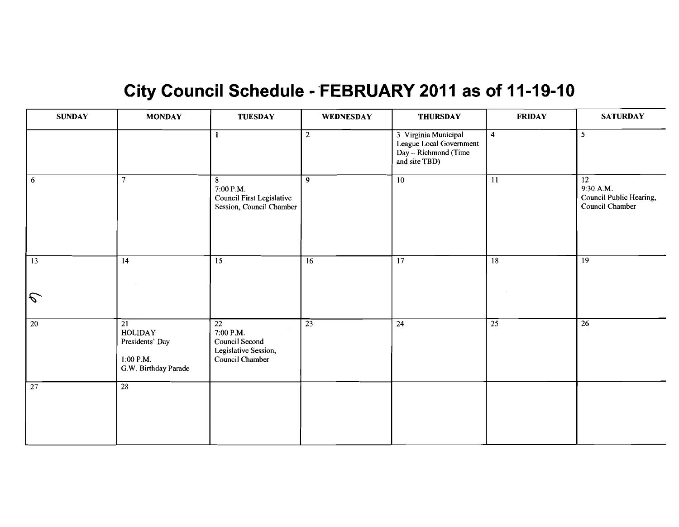# **City Council Schedule - FEBRUARY 2011 as of 11-19-10**

| <b>SUNDAY</b>   | <b>MONDAY</b>                                                                               | <b>TUESDAY</b>                                                                            | <b>WEDNESDAY</b> | <b>THURSDAY</b>                                                                          | <b>FRIDAY</b>   | <b>SATURDAY</b>                                                            |
|-----------------|---------------------------------------------------------------------------------------------|-------------------------------------------------------------------------------------------|------------------|------------------------------------------------------------------------------------------|-----------------|----------------------------------------------------------------------------|
|                 |                                                                                             | $\mathbf{1}$                                                                              | $\overline{2}$   | 3 Virginia Municipal<br>League Local Government<br>Day - Richmond (Time<br>and site TBD) | $\overline{4}$  | 5                                                                          |
| 6               | $\overline{7}$                                                                              | 8<br>7:00 P.M.<br>Council First Legislative<br>Session, Council Chamber                   | $\overline{9}$   | $\overline{10}$                                                                          | $\overline{11}$ | $\overline{12}$<br>9:30 A.M.<br>Council Public Hearing,<br>Council Chamber |
| 13              | $\overline{14}$                                                                             | $\overline{15}$                                                                           | 16               | $\overline{17}$                                                                          | $\overline{18}$ | $\overline{19}$                                                            |
| $\mathcal{L}$   |                                                                                             |                                                                                           |                  |                                                                                          |                 |                                                                            |
| $\overline{20}$ | $\overline{21}$<br><b>HOLIDAY</b><br>Presidents' Day<br>$1:00$ P.M.<br>G.W. Birthday Parade | $\overline{22}$<br>7:00 P.M.<br>Council Second<br>Legislative Session,<br>Council Chamber | $\overline{23}$  | $\overline{24}$                                                                          | $\overline{25}$ | $\overline{26}$                                                            |
| $\overline{27}$ | $\overline{28}$                                                                             |                                                                                           |                  |                                                                                          |                 |                                                                            |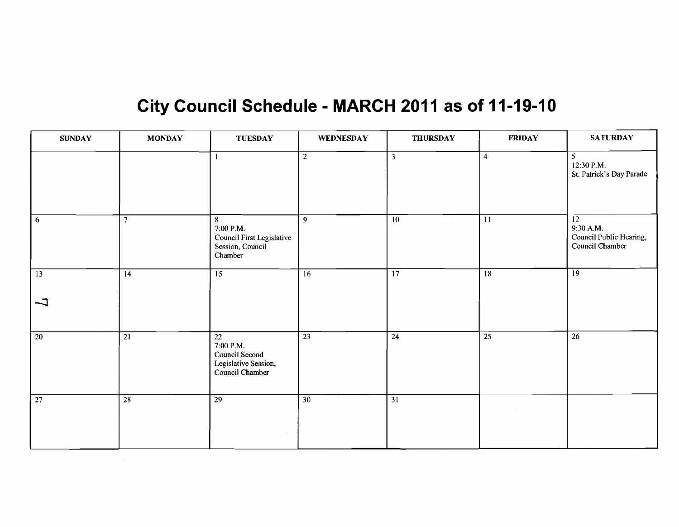### City Council Schedule - MARCH 2011 as of 11-19-10

| <b>SUNDAY</b>   | <b>MONDAY</b>   | <b>TUESDAY</b>                                                                            | <b>WEDNESDAY</b> | <b>THURSDAY</b>         | <b>FRIDAY</b>           | <b>SATURDAY</b>                                                            |
|-----------------|-----------------|-------------------------------------------------------------------------------------------|------------------|-------------------------|-------------------------|----------------------------------------------------------------------------|
|                 |                 |                                                                                           | $\overline{2}$   | $\overline{\mathbf{3}}$ | $\overline{\mathbf{4}}$ | 5<br>12:30 P.M.<br>St. Patrick's Day Parade                                |
| 6               | $\overline{7}$  | 8<br>7:00 P.M.<br>Council First Legislative<br>Session, Council<br>Chamber                | 9                | $\overline{10}$         | $\overline{11}$         | $\overline{12}$<br>9:30 A.M.<br>Council Public Hearing,<br>Council Chamber |
| $\overline{13}$ | $\overline{14}$ | $\overline{15}$                                                                           | $\overline{16}$  | $\overline{17}$         | $\overline{18}$         | $\overline{19}$                                                            |
| コ               |                 |                                                                                           |                  |                         |                         |                                                                            |
| $\overline{20}$ | $\overline{21}$ | $\overline{22}$<br>7:00 P.M.<br>Council Second<br>Legislative Session,<br>Council Chamber | $\overline{23}$  | 24                      | 25                      | 26                                                                         |
| $\overline{27}$ | $\overline{28}$ | $\overline{29}$                                                                           | 30               | $\overline{31}$         |                         |                                                                            |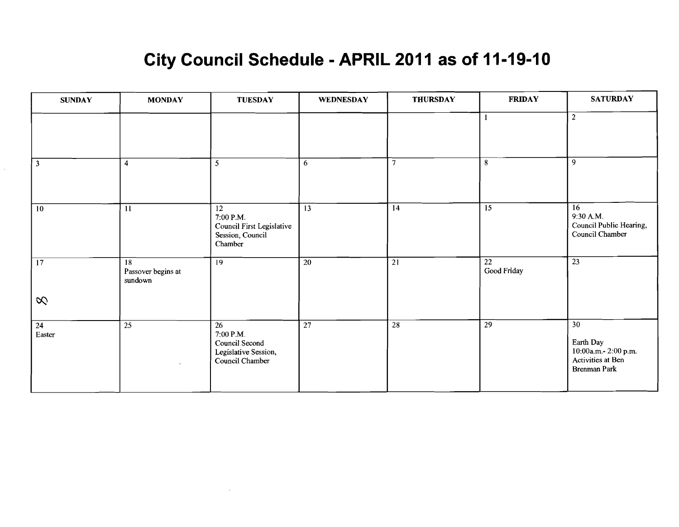## City Council Schedule - APRIL 2011 as of 11-19-10

| <b>SUNDAY</b>                                             | <b>MONDAY</b>                       | <b>TUESDAY</b>                                                                            | <b>WEDNESDAY</b> | <b>THURSDAY</b> | <b>FRIDAY</b>     | <b>SATURDAY</b>                                                                            |
|-----------------------------------------------------------|-------------------------------------|-------------------------------------------------------------------------------------------|------------------|-----------------|-------------------|--------------------------------------------------------------------------------------------|
|                                                           |                                     |                                                                                           |                  |                 |                   | $\boldsymbol{2}$                                                                           |
| $\overline{\mathbf{3}}$                                   | $\overline{\mathbf{4}}$             | $\mathfrak{H}$                                                                            | 6                | $\tau$          | 8                 | 9                                                                                          |
| 10                                                        | 11                                  | $\overline{12}$<br>7:00 P.M.<br>Council First Legislative<br>Session, Council<br>Chamber  | $\overline{13}$  | $\overline{14}$ | $\overline{15}$   | $\overline{16}$<br>9:30 A.M.<br>Council Public Hearing,<br>Council Chamber                 |
| $\overline{17}$                                           | 18<br>Passover begins at<br>sundown | $\overline{19}$                                                                           | $\overline{20}$  | $\overline{21}$ | 22<br>Good Friday | 23                                                                                         |
| $\infty$                                                  |                                     |                                                                                           |                  |                 |                   |                                                                                            |
| $\overline{24}$<br>$\ensuremath{\mathsf{E}}\xspace$ aster | $\overline{25}$<br>$\mathbf{r}$     | $\overline{26}$<br>7:00 P.M.<br>Council Second<br>Legislative Session,<br>Council Chamber | $\overline{27}$  | $\overline{28}$ | $\overline{29}$   | $\overline{30}$<br>Earth Day<br>10:00a.m. - 2:00 p.m.<br>Activities at Ben<br>Brenman Park |

 $\sim$ 

 $\mathcal{L}^{\mathcal{L}}$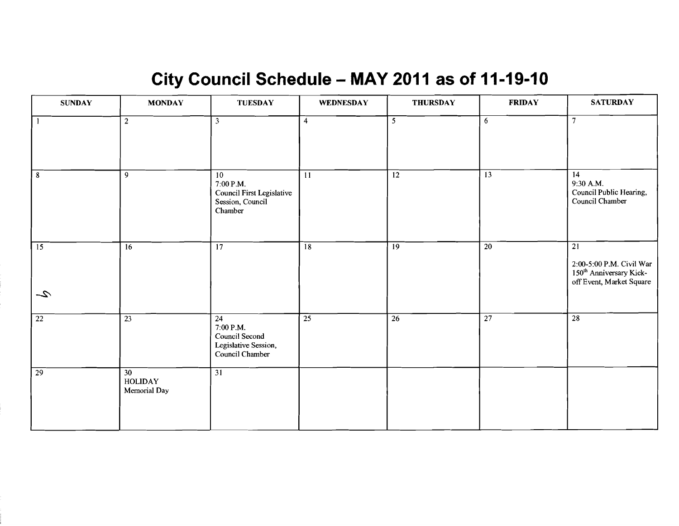# City Council Schedule - MAY 2011 as of 11-19-10

| <b>SUNDAY</b>          | <b>MONDAY</b>                        | <b>TUESDAY</b>                                                                            | WEDNESDAY       | <b>THURSDAY</b> | <b>FRIDAY</b>   | <b>SATURDAY</b>                                                                                                |
|------------------------|--------------------------------------|-------------------------------------------------------------------------------------------|-----------------|-----------------|-----------------|----------------------------------------------------------------------------------------------------------------|
| $\Box$                 | $\overline{2}$                       | $\overline{\mathbf{3}}$                                                                   | 4               | $\overline{5}$  | 6               | $\overline{7}$                                                                                                 |
| $\overline{8}$         | $\overline{9}$                       | 10<br>7:00 P.M.<br>Council First Legislative<br>Session, Council<br>Chamber               | 11              | $\overline{12}$ | 13              | 14<br>9:30 A.M.<br>Council Public Hearing,<br>Council Chamber                                                  |
| $\boxed{15}$<br>$\sim$ | 16                                   | $\overline{17}$                                                                           | $\overline{18}$ | 19              | $\overline{20}$ | $\overline{21}$<br>2:00-5:00 P.M. Civil War<br>150 <sup>th</sup> Anniversary Kick-<br>off Event, Market Square |
| $\overline{22}$        | $\overline{23}$                      | $\overline{24}$<br>7:00 P.M.<br>Council Second<br>Legislative Session,<br>Council Chamber | $\overline{25}$ | $\overline{26}$ | $\overline{27}$ | $\overline{28}$                                                                                                |
| $\overline{29}$        | 30<br><b>HOLIDAY</b><br>Memorial Day | $\overline{31}$                                                                           |                 |                 |                 |                                                                                                                |